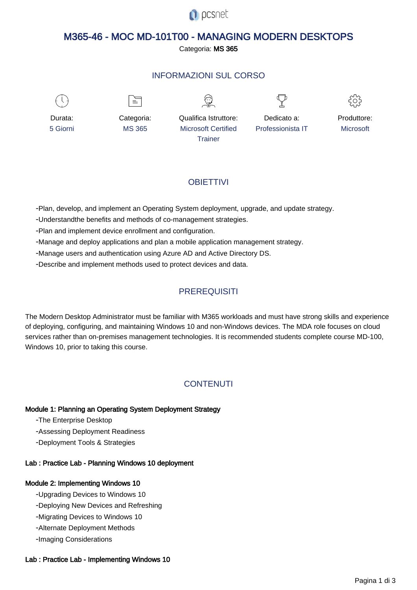

# M365-46 - MOC MD-101T00 - MANAGING MODERN DESKTOPS

Categoria: MS 365

# INFORMAZIONI SUL CORSO



≡







Durata: 5 Giorni

Categoria: MS 365

Qualifica Istruttore: Microsoft Certified **Trainer** 

Dedicato a: Professionista IT



# **OBIFTTIVI**

- Plan, develop, and implement an Operating System deployment, upgrade, and update strategy.

- Understandthe benefits and methods of co-management strategies.

- Plan and implement device enrollment and configuration.

- Manage and deploy applications and plan a mobile application management strategy.

- Manage users and authentication using Azure AD and Active Directory DS.

- Describe and implement methods used to protect devices and data.

# **PREREQUISITI**

The Modern Desktop Administrator must be familiar with M365 workloads and must have strong skills and experience of deploying, configuring, and maintaining Windows 10 and non-Windows devices. The MDA role focuses on cloud services rather than on-premises management technologies. It is recommended students complete course MD-100, Windows 10, prior to taking this course.

# **CONTENUTI**

# Module 1: Planning an Operating System Deployment Strategy

- The Enterprise Desktop

- Assessing Deployment Readiness

- Deployment Tools & Strategies

# Lab : Practice Lab - Planning Windows 10 deployment

# Module 2: Implementing Windows 10

- Upgrading Devices to Windows 10
- Deploying New Devices and Refreshing
- Migrating Devices to Windows 10
- Alternate Deployment Methods
- Imaging Considerations

#### Lab : Practice Lab - Implementing Windows 10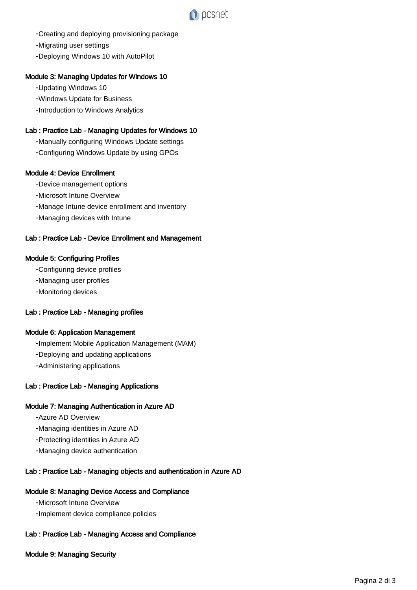

- Creating and deploying provisioning package

- Migrating user settings

- Deploying Windows 10 with AutoPilot

#### Module 3: Managing Updates for Windows 10

- Updating Windows 10

- Windows Update for Business
- Introduction to Windows Analytics

#### Lab : Practice Lab - Managing Updates for Windows 10

- Manually configuring Windows Update settings
- Configuring Windows Update by using GPOs

#### Module 4: Device Enrollment

- Device management options
- Microsoft Intune Overview
- Manage Intune device enrollment and inventory
- Managing devices with Intune

#### Lab : Practice Lab - Device Enrollment and Management

#### Module 5: Configuring Profiles

- Configuring device profiles
- Managing user profiles
- Monitoring devices

# Lab : Practice Lab - Managing profiles

#### Module 6: Application Management

- Implement Mobile Application Management (MAM)

- Deploying and updating applications
- Administering applications

# Lab : Practice Lab - Managing Applications

#### Module 7: Managing Authentication in Azure AD

- Azure AD Overview
- Managing identities in Azure AD
- Protecting identities in Azure AD
- Managing device authentication

#### Lab : Practice Lab - Managing objects and authentication in Azure AD

#### Module 8: Managing Device Access and Compliance

- Microsoft Intune Overview

- Implement device compliance policies

# Lab : Practice Lab - Managing Access and Compliance

#### Module 9: Managing Security